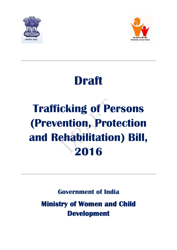



# **Draft**

# **Trafficking of Persons (Prevention, Protection and Rehabilitation) Bill, 2016**

**Government of India**

**Ministry of Women and Child Development**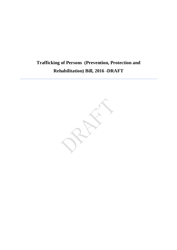# **Trafficking of Persons (Prevention, Protection and Rehabilitation) Bill, 2016 -DRAFT**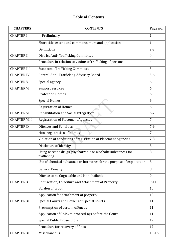# **Table of Contents**

| <b>CHAPTERS</b>     | <b>CONTENTS</b>                                                               | Page no.       |
|---------------------|-------------------------------------------------------------------------------|----------------|
| <b>CHAPTER I</b>    | Preliminary                                                                   | 1              |
|                     | Short title, extent and commencement and application                          | $\mathbf{1}$   |
|                     | Definitions                                                                   | $2 - 3$        |
| <b>CHAPTER II</b>   | <b>District Anti-Trafficking Committee</b>                                    | $\overline{4}$ |
|                     | Procedure in relation to victims of trafficking of persons                    | $\overline{4}$ |
| <b>CHAPTER III</b>  | <b>State Anti-Trafficking Committee</b>                                       | 5              |
| <b>CHAPTER IV</b>   | Central Anti-Trafficking Advisory Board                                       | $5-6$          |
| <b>CHAPTER V</b>    | Special agency                                                                | 6              |
| <b>CHAPTER VI</b>   | <b>Support Services</b>                                                       | 6              |
|                     | <b>Protection Homes</b>                                                       | 6              |
|                     | <b>Special Homes</b>                                                          | 6              |
|                     | <b>Registration of Homes</b>                                                  | 6              |
| <b>CHAPTER VII</b>  | Rehabilitation and Social Integration                                         | $6 - 7$        |
| <b>CHAPTER VIII</b> | <b>Registration of Placement Agencies</b>                                     | $\overline{7}$ |
| <b>CHAPTER IX</b>   | <b>Offences and Penalties</b>                                                 | $7-9$          |
|                     | Non-registration of Homes                                                     | 7              |
|                     | Violation of conditions of registration of Placement Agencies                 | $7 - 8$        |
|                     | Disclosure of identity                                                        | 8              |
|                     | Using narcotic drugs, psychotropic or alcoholic substances for<br>trafficking | 8              |
|                     | Use of chemical substance or hormones for the purpose of exploitation         | 8              |
|                     | <b>General Penalty</b>                                                        | 8              |
|                     | Offence to be Cognizable and Non-bailable                                     | 9              |
| <b>CHAPTER X</b>    | Confiscation, Forfeiture and Attachment of Property                           | $9 - 11$       |
|                     | Burden of proof                                                               | 10             |
|                     | Application for attachment of property                                        | 10             |
| <b>CHAPTER XI</b>   | Special Courts and Powers of Special Courts                                   | 11             |
|                     | Presumption of certain offences                                               | 11             |
|                     | Application of Cr.PC to proceedings before the Court                          | 11             |
|                     | <b>Special Public Prosecutors</b>                                             | 12             |
|                     | Procedure for recovery of fines                                               | 12             |
| <b>CHAPTER XII</b>  | Miscellaneous                                                                 | $13 - 16$      |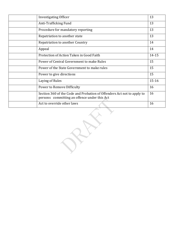| <b>Investigating Officer</b>                                                                                           | 13        |
|------------------------------------------------------------------------------------------------------------------------|-----------|
| Anti-Trafficking Fund                                                                                                  | 13        |
| Procedure for mandatory reporting                                                                                      | 13        |
| Repatriation to another state                                                                                          | 13        |
| Repatriation to another Country                                                                                        | 14        |
| Appeal                                                                                                                 | 14        |
| Protection of Action Taken in Good Faith                                                                               | 14-15     |
| Power of Central Government to make Rules                                                                              | 15        |
| Power of the State Government to make rules                                                                            | 15        |
| Power to give directions                                                                                               | 15        |
| Laying of Rules                                                                                                        | $15 - 16$ |
| Power to Remove Difficulty                                                                                             | 16        |
| Section 360 of the Code and Probation of Offenders Act not to apply to<br>persons committing an offence under this Act | 16        |
| Act to override other laws                                                                                             | 16        |

 $R_{\rm{eff}}$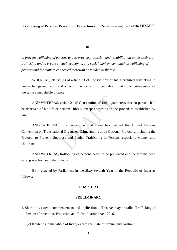#### **Trafficking of Persons (Prevention, Protection and Rehabilitation) Bill 2016- DRAFT**

A

#### BILL

*to prevent trafficking of persons and to provide protection and rehabilitation to the victims of trafficking and to create a legal, economic, and social environment against trafficking of persons and for matters connected therewith or incidental thereto*

WHEREAS, clause (1) of article 23 of Constitution of India prohibits trafficking in human beings and *begar* and other similar forms of forced labour, making a contravention of the same a punishable offence;

AND WHEREAS, article 21 of Constitution of India guarantees that no person shall be deprived of his life or personal liberty except according to the procedure established by law;

AND WHEREAS, the Government of India has ratified the United Nations Convention on Transnational Organised Crime and its three Optional Protocols, including the Protocol to Prevent, Suppress and Punish Trafficking in Persons, especially women and children;

AND WHEREAS, trafficking of persons needs to be prevented and the victims need care, protection and rehabilitation.

Be it enacted by Parliament in the Sixty-seventh Year of the Republic of India as follows:-

#### **CHAPTER I**

#### **PRELIMINARY**

- 1. Short title, extent, commencement and application.—This Act may be called Trafficking of Persons (Prevention, Protection and Rehabilitation) Act, 2016.
	- (2) It extends to the whole of India, except the State of Jammu and Kashmir.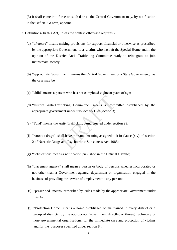(3) It shall come into force on such date as the Central Government may, by notification in the Official Gazette, appoint.

- 2. Definitions- In this Act, unless the context otherwise requires,-
	- (a) "aftercare" means making provisions for support, financial or otherwise as prescribed by the appropriate Government, to a victim, who has left the Special Home and in the opinion of the District Anti- Trafficking Committee ready to reintegrate to join mainstream society;
	- (b) "appropriate Government" means the Central Government or a State Government, as the case may be;
	- (c) "child" means a person who has not completed eighteen years of age;
	- (d) "District Anti-Trafficking Committee" means a Committee established by the appropriate government under sub-section(1) of section 3;
	- (e) "Fund" means the Anti- Trafficking Fund created under section 29;
	- (f) "narcotic drugs" shall have the same meaning assigned to it in clause (xiv) of section 2 of Narcotic Drugs and Psychotropic Substances Act, 1985;
	- $(g)$  "notification" means a notification published in the Official Gazette;
	- (h) "placement agency" shall mean a person or body of persons whether incorporated or not other than a Government agency, department or organisation engaged in the business of providing the service of employment to any person;
	- (i) "prescribed" means prescribed by rules made by the appropriate Government under this Act;
	- (j) "Protection Home" means a home established or maintained in every district or a group of districts, by the appropriate Government directly, or through voluntary or non- governmental organisations, for the immediate care and protection of victims and for the purposes specified under section 8 ;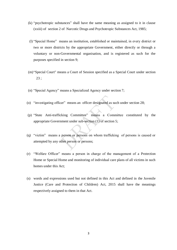- $(k)$  "psychotropic substances" shall have the same meaning as assigned to it in clause (xxiii) of section 2 of Narcotic Drugs and Psychotropic Substances Act, 1985;
- (I) "Special Home" means an institution, established or maintained, in every district or two or more districts by the appropriate Government, either directly or through a voluntary or non-Governmental organisation, and is registered as such for the purposes specified in section 9;
- (m) "Special Court" means a Court of Session specified as a Special Court under section 23 ;
- (n) "Special Agency" means a Specialized Agency under section 7;
- (o) "investigating officer" means an officer designated as such under section 28;
- (p) "State Anti-trafficking Committee" means a Committee constituted by the appropriate Government under sub-section (1) of section 5;
- (q) "victim" means a person or persons on whom trafficking of persons is caused or attempted by any other person or persons;
- (r) 
"Welfare Officer" means a person in charge of the management of a Protection Home or Special Home and monitoring of individual care plans of all victims in such homes under this Act;
- (s) words and expressions used but not defined in this Act and defined in the Juvenile Justice (Care and Protection of Children) Act, 2015 shall have the meanings respectively assigned to them in that Act.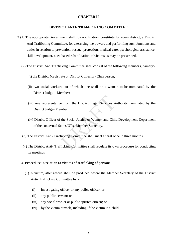#### **CHAPTER II**

#### **DISTRICT ANTI- TRAFFICKING COMMITTEE**

- 3 (1) The appropriate Government shall, by notification, constitute for every district, a District Anti Trafficking Committee**,** for exercising the powers and performing such functions and duties in relation to prevention, rescue, protection, medical care, psychological assistance, skill development, need based rehabilitation of victims as may be prescribed.
	- (2) The District Anti Trafficking Committee shall consist of the following members, namely:-
		- (i) the District Magistrate or District Collector- Chairperson;
		- (ii) two social workers out of which one shall be a woman to be nominated by the District Judge – Member;
		- (iii) one representative from the District Legal Services Authority nominated by the District Judge- Member;
		- (iv) District Officer of the Social Justice or Women and Child Development Department of the concerned States/UTs- Member Secretary.
	- (3) The District Anti- Trafficking Committee shall meet atleast once in three months.
	- (4) The District Anti- Trafficking Committee shall regulate its own procedure for conducting its meetings.

#### 4. **Procedure in relation to victims of trafficking of persons**

- (1) A victim, after rescue shall be produced before the Member Secretary of the District Anti- Trafficking Committee by:-
	- (i) investigating officer or any police officer; or
	- (ii) any public servant; or
	- (iii) any social worker or public spirited citizen; or
	- (iv) by the victim himself, including if the victim is a child.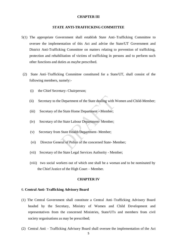#### **CHAPTER III**

#### **STATE ANTI-TRAFFICKING COMMITTEE**

- 5(1) The appropriate Government shall establish State Anti–Trafficking Committee to oversee the implementation of this Act and advise the State/UT Government and District Anti-Trafficking Committee on matters relating to prevention of trafficking, protection and rehabilitation of victims of trafficking in persons and to perform such other functions and duties as maybe prescribed.
- (2) State Anti–Trafficking Committee constituted for a State/UT, shall consist of the following members, namely:-
	- (i) the Chief Secretary- Chairperson;
	- (ii) Secretary to the Department of the State dealing with Women and Child-Member;
	- (iii) Secretary of the State Home Department Member;
	- (iv) Secretary of the State Labour Department- Member;
	- (v) Secretary from State Health Department- Member;
	- (vi) Director General of Police of the concerned State- Member;
	- (vii) Secretary of the State Legal Services Authority Member;
	- (viii) two social workers out of which one shall be a woman and to be nominated by the Chief Justice of the High Court – Member.

#### **CHAPTER IV**

#### 6. **Central Anti- Trafficking Advisory Board**

- (1) The Central Government shall constitute a Central Anti–Trafficking Advisory Board headed by the Secretary, Ministry of Women and Child Development and representatives from the concerned Ministries, State/UTs and members from civil society organisations as may be prescribed;
- (2) Central Anti Trafficking Advisory Board shall oversee the implementation of the Act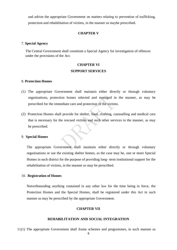and advise the appropriate Government on matters relating to prevention of trafficking, protection and rehabilitation of victims, in the manner as maybe prescribed.

#### **CHAPTER V**

#### 7. **Special Agency**

The Central Government shall constitute a Special Agency for investigation of offences under the provisions of the Act.

## **CHAPTER VI SUPPORT SERVICES**

#### 8. **Protection Homes**

- (1) The appropriate Government shall maintain either directly or through voluntary organisations, protection homes selected and managed in the manner, as may be prescribed for the immediate care and protection of the victims.
- (2) Protection Homes shall provide for shelter, food, clothing, counselling and medical care that is necessary for the rescued victims and such other services in the manner, as may be prescribed.

#### 9. **Special Homes**

The appropriate Government shall maintain either directly or through voluntary organisations or use the existing shelter homes, as the case may be, one or more Special Homes in each district for the purpose of providing long- term institutional support for the rehabilitation of victims, in the manner as may be prescribed.

#### 10. **Registration of Homes**

Notwithstanding anything contained in any other law for the time being in force, the Protection Homes and the Special Homes, shall be registered under this Act in such manner as may be prescribed by the appropriate Government.

#### **CHAPTER VII**

#### **REHABILITATION AND SOCIAL INTEGRATION**

11(1) The appropriate Government shall frame schemes and programmes, in such manner as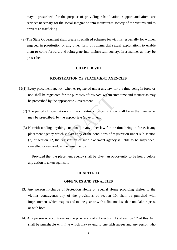maybe prescribed, for the purpose of providing rehabilitation, support and after care services necessary for the social integration into mainstream society of the victims and to prevent re-trafficking.

(2) The State Government shall create specialised schemes for victims, especially for women engaged in prostitution or any other form of commercial sexual exploitation, to enable them to come forward and reintegrate into mainstream society, in a manner as may be prescribed.

#### **CHAPTER VIII**

#### **REGISTRATION OF PLACEMENT AGENCIES**

- 12(1) Every placement agency, whether registered under any law for the time being in force or not, shall be registered for the purposes of this Act, within such time and manner as may be prescribed by the appropriate Government.
	- (2) The period of registration and the conditions for registration shall be in the manner as may be prescribed, by the appropriate Government.
	- (3) Notwithstanding anything contained in any other law for the time being in force, if any placement agency which violates any of the conditions of registration under sub-section (2) of section 12, the registration of such placement agency is liable to be suspended, cancelled or revoked, as the case may be.

Provided that the placement agency shall be given an opportunity to be heard before any action is taken against it.

#### **CHAPTER IX**

#### **OFFENCES AND PENALTIES**

- 13. Any person in-charge of Protection Home or Special Home providing shelter to the victims contravenes any of the provisions of section 10, shall be punished with imprisonment which may extend to one year or with a fine not less than one lakh rupees, or with both.
- 14. Any person who contravenes the provisions of sub-section (1) of section 12 of this Act, shall be punishable with fine which may extend to one lakh rupees and any person who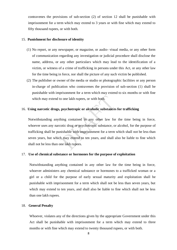contravenes the provisions of sub-section (2) of section 12 shall be punishable with imprisonment for a term which may extend to 3 years or with fine which may extend to fifty thousand rupees, or with both.

#### 15. **Punishment for disclosure of identity**

- (1) No report, or any newspaper, or magazine, or audio- visual media, or any other form of communication regarding any investigation or judicial procedure shall disclose the name, address, or any other particulars which may lead to the identification of a victim, or witness of a crime of trafficking in persons under this Act, or any other law for the time being in force, nor shall the picture of any such victim be published.
- (2) The publisher or owner of the media or studio or photographic facilities or any person in-charge of publication who contravenes the provision of sub-section (1) shall be punishable with imprisonment for a term which may extend to six months or with fine which may extend to one lakh rupees, or with both.

#### 16. **Using narcotic drugs, psychotropic or alcoholic substances for trafficking**

Notwithstanding anything contained in any other law for the time being in force, whoever uses any narcotic drug or psychotropic substance, or alcohol, for the purpose of trafficking shall be punishable with imprisonment for a term which shall not be less than seven years, but which may extend to ten years, and shall also be liable to fine which shall not be less than one lakh rupees.

#### 17. **Use of chemical substance or hormones for the purpose of exploitation**

Notwithstanding anything contained in any other law for the time being in force, whoever administers any chemical substance or hormones to a trafficked woman or a girl or a child for the purpose of early sexual maturity and exploitation shall be punishable with imprisonment for a term which shall not be less than seven years, but which may extend to ten years, and shall also be liable to fine which shall not be less than one lakh rupees.

#### 18. **General Penalty**

Whoever, violates any of the directions given by the appropriate Government under this Act shall be punishable with imprisonment for a term which may extend to three months or with fine which may extend to twenty thousand rupees, or with both.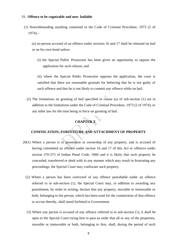#### 19. **Offence to be cognizable and non- bailable**

 (1) Notwithstanding anything contained in the Code of Criminal Procedure, 1973 (2 of 1974), -

(a) no person accused of an offence under sections 16 and 17 shall be released on bail or on his own bond unless-

(i) the Special Public Prosecutor has been given an opportunity to oppose the application for such release; and

(ii) where the Special Public Prosecutor opposes the application, the court is satisfied that there are reasonable grounds for believing that he is not guilty of such offence and that he is not likely to commit any offence while on bail.

(2) The limitations on granting of bail specified in clause (a) of sub-section (1) are in addition to the limitations under the Code of Criminal Procedure, 1973 (2 of 1974), or any other law for the time being in force on granting of bail.

### **CHAPTER X**

#### **CONFISCATION, FORFEITURE AND ATTACHMENT OF PROPERTY**

- 20(1) Where a person is in possession or ownership of any property, and is accused of having committed an offence under section 16 and 17 of this Act or offences under section 370-373 of Indian Penal Code, 1860 and it is likely that such property be concealed, transferred or dealt with in any manner which may result in frustrating any proceedings, the Special Court may confiscate such property.
	- (2) Where a person has been convicted of any offence punishable under an offence referred to in sub-section (1), the Special Court may, in addition to awarding any punishment, by order in writing, declare that any property, movable or immovable or both, belonging to the person, which has been used for the commission of that offence or accrue thereby, shall stand forfeited to Government.
	- (3) Where any person is accused of any offence referred to in sub-section (1), it shall be open to the Special Court trying him to pass an order that all or any of the properties, movable or immovable or both, belonging to him, shall, during the period of such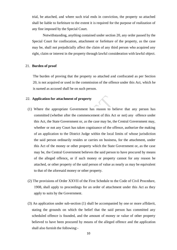trial, be attached, and where such trial ends in conviction, the property so attached shall be liable to forfeiture to the extent it is required for the purpose of realization of any fine imposed by the Special Court.

Notwithstanding, anything contained under section 20, any order passed by the Special Court for confiscation, attachment or forfeiture of the property, as the case may be, shall not prejudicially affect the claim of any third person who acquired any right, claim or interest in the property through lawful consideration with lawful object.

#### 21. **Burden of proof**

The burden of proving that the property so attached and confiscated as per Section 20, is not acquired or used in the commission of the offence under this Act, which he is named as accused shall be on such person.

#### 22. **Application for attachment of property**

- (1) Where the appropriate Government has reason to believe that any person has committed (whether after the commencement of this Act or not) any offence under this Act, the State Government or, as the case may be, the Central Government may, whether or not any Court has taken cognizance of the offence, authorize the making of an application to the District Judge within the local limits of whose jurisdiction the said person ordinarily resides or carries on business, for the attachment, under this Act of the money or other property which the State Government or, as the case may be, the Central Government believes the said person to have procured by means of the alleged offence, or if such money or property cannot for any reason be attached, or other property of the said person of value as nearly as may be equivalent to that of the aforesaid money or other property.
- (2) The provisions of Order XXVII of the First Schedule to the Code of Civil Procedure, 1908, shall apply to proceedings for an order of attachment under this Act as they apply to suits by the Government.
- (3) An application under sub-section (1) shall be accompanied by one or more affidavit, stating the grounds on which the belief that the said person has committed any scheduled offence is founded, and the amount of money or value of other property believed to have been procured by means of the alleged offence and the application shall also furnish the following:-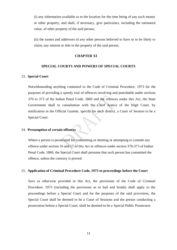(i) any information available as to the location for the time being of any such money or other property, and shall, if necessary, give particulars, including the estimated value, of other property of the said person;

(ii) the names and addresses of any other persons believed to have or to be likely to claim, any interest or title in the property of the said person.

#### **CHAPTER XI**

#### **SPECIAL COURTS AND POWERS OF SPECIAL COURTS**

#### 23. **Special Court**

Notwithstanding anything contained in the Code of Criminal Procedure, 1973 for the purposes of providing a speedy trial of offences involving and punishable under sections 370 to 373 of the Indian Penal Code, 1860 and the offences under this Act, the State Government shall in consultation with the Chief Justice of the High Court, by notification in the Official Gazette, specify for each district, a Court of Session to be a Special Court.

#### 24. **Presumption of certain offences**

Where a person is prosecuted for committing or abetting or attempting to commit any offence under section 16 and 17 of this Act or offences under section 370-373 of Indian Penal Code, 1860, the Special Court shall presume that such person has committed the offence, unless the contrary is proved.

#### 25. **Application of Criminal Procedure Code, 1973 to proceedings before the Court**

Save as otherwise provided in this Act, the provisions of the Code of Criminal Procedure, 1973 (including the provisions as to bail and bonds) shall apply to the proceedings before a Special Court and for the purposes of the said provisions, the Special Court shall be deemed to be a Court of Sessions and the person conducting a prosecution before a Special Court, shall be deemed to be a Special Public Prosecutor.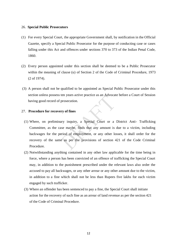#### 26. **Special Public Prosecutors**

- (1) For every Special Court, the appropriate Government shall, by notification in the Official Gazette, specify a Special Public Prosecutor for the purpose of conducting case or cases falling under this Act and offences under sections 370 to 373 of the Indian Penal Code, 1860.
- (2) Every person appointed under this section shall be deemed to be a Public Prosecutor within the meaning of clause (u) of Section 2 of the Code of Criminal Procedure, 1973 (2 of 1974).
- (3) A person shall not be qualified to be appointed as Special Public Prosecutor under this section unless possess ten years active practice as an Advocate before a Court of Session having good record of prosecution.

#### 27. **Procedure for recovery of fines**

- (1) Where, on preliminary inquiry, a Special Court or a District Anti- Trafficking Committee, as the case maybe, finds that any amount is due to a victim, including backwages for the period of employment, or any other losses, it shall order for the recovery of the same as per the provisions of section 421 of the Code Criminal Procedure.
- (2) Notwithstanding anything contained in any other law applicable for the time being in force, where a person has been convicted of an offence of trafficking the Special Court may, in addition to the punishment prescribed under the relevant laws also order the accused to pay all backwages, or any other arrear or any other amount due to the victim, in addition to a fine which shall not be less than Rupees five lakhs for each victim engaged by such trafficker.
- (3) Where an offender has been sentenced to pay a fine, the Special Court shall initiate action for the recovery of such fine as an arrear of land revenue as per the section 421 of the Code of Criminal Procedure.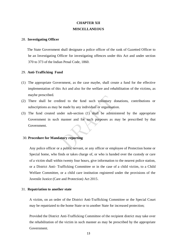## **CHAPTER XII MISCELLANEOUS**

#### 28. **Investigating Officer**

 The State Government shall designate a police officer of the rank of Gazetted Officer to be an Investigating Officer for investigating offences under this Act and under section 370 to 373 of the Indian Penal Code, 1860.

#### 29. **Anti-Trafficking Fund**

- (1) The appropriate Government, as the case maybe, shall create a fund for the effective implementation of this Act and also for the welfare and rehabilitation of the victims, as maybe prescribed.
- (2) There shall be credited to the fund such voluntary donations, contributions or subscriptions as may be made by any individual or organisation.
- (3) The fund created under sub-section (1) shall be administered by the appropriate Government in such manner and for such purposes as may be prescribed by that Government.

#### 30. **Procedure for Mandatory reporting**

Any police officer or a public servant, or any officer or employee of Protection home or Special home, who finds or takes charge of, or who is handed over the custody or care of a victim shall within twenty four hours, give information to the nearest police station, or a District Anti- Trafficking Committee or in the case of a child victim, to a Child Welfare Committee, or a child care institution registered under the provisions of the Juvenile Justice (Care and Protection) Act 2015.

#### 31. **Repatriation to another state**

A victim, on an order of the District Anti-Trafficking Committee or the Special Court may be repatriated to the home State or to another State for increased protection;

Provided the District Anti-Trafficking Committee of the recipient district may take over the rehabilitation of the victim in such manner as may be prescribed by the appropriate Government.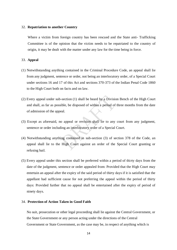#### 32. **Repatriation to another Country**

Where a victim from foreign country has been rescued and the State anti- Trafficking Committee is of the opinion that the victim needs to be repatriated to the country of origin, it may be dealt with the matter under any law for the time being in force.

#### 33. **Appeal**

- (1) Notwithstanding anything contained in the Criminal Procedure Code, an appeal shall lie from any judgment, sentence or order, not being an interlocutory order, of a Special Court under sections 16 and 17 of this Act and sections 370-373 of the Indian Penal Code 1860 to the High Court both on facts and on law.
- (2) Every appeal under sub-section (1) shall be heard by a Division Bench of the High Court and shall, as far as possible, be disposed of within a period of three months from the date of admission of the appeal.
- (3) Except as aforesaid, no appeal or revision shall lie to any court from any judgment, sentence or order including an interlocutory order of a Special Court.
- (4) Notwithstanding anything contained in sub-section (3) of section 378 of the Code, an appeal shall lie to the High Court against an order of the Special Court granting or refusing bail.
- (5) Every appeal under this section shall be preferred within a period of thirty days from the date of the judgment, sentence or order appealed from: Provided that the High Court may entertain an appeal after the expiry of the said period of thirty days if it is satisfied that the appellant had sufficient cause for not preferring the appeal within the period of thirty days: Provided further that no appeal shall be entertained after the expiry of period of ninety days.

#### 34. **Protection of Action Taken in Good Faith**

No suit, prosecution or other legal proceeding shall lie against the Central Government, or the State Government or any person acting under the directions of the Central Government or State Government, as the case may be, in respect of anything which is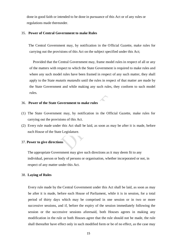done in good faith or intended to be done in pursuance of this Act or of any rules or regulations made thereunder.

#### 35. **Power of Central Government to make Rules**

 The Central Government may, by notification in the Official Gazette, make rules for carrying out the provisions of this Act on the subject specified under this Act;

Provided that the Central Government may, frame model rules in respect of all or any of the matters with respect to which the State Government is required to make rules and where any such model rules have been framed in respect of any such matter, they shall apply to the State *mutatis mutandis* until the rules in respect of that matter are made by the State Government and while making any such rules, they conform to such model rules.

#### 36. **Power of the State Government to make rules**

- (1) The State Government may, by notification in the Official Gazette, make rules for carrying out the provisions of this Act.
- (2) Every rule made under this Act shall be laid, as soon as may be after it is made, before each House of the State Legislature.

#### 37. **Power to give directions**

The appropriate Government may give such directions as it may deem fit to any individual, person or body of persons or organisation, whether incorporated or not, in respect of any matter under this Act.

#### 38. **Laying of Rules**

Every rule made by the Central Government under this Act shall be laid, as soon as may be after it is made, before each House of Parliament, while it is in session, for a total period of thirty days which may be comprised in one session or in two or more successive sessions, and if, before the expiry of the session immediately following the session or the successive sessions aforesaid, both Houses agrees in making any modification in the rule or both Houses agree that the rule should not be made, the rule shall thereafter have effect only in such modified form or be of no effect, as the case may